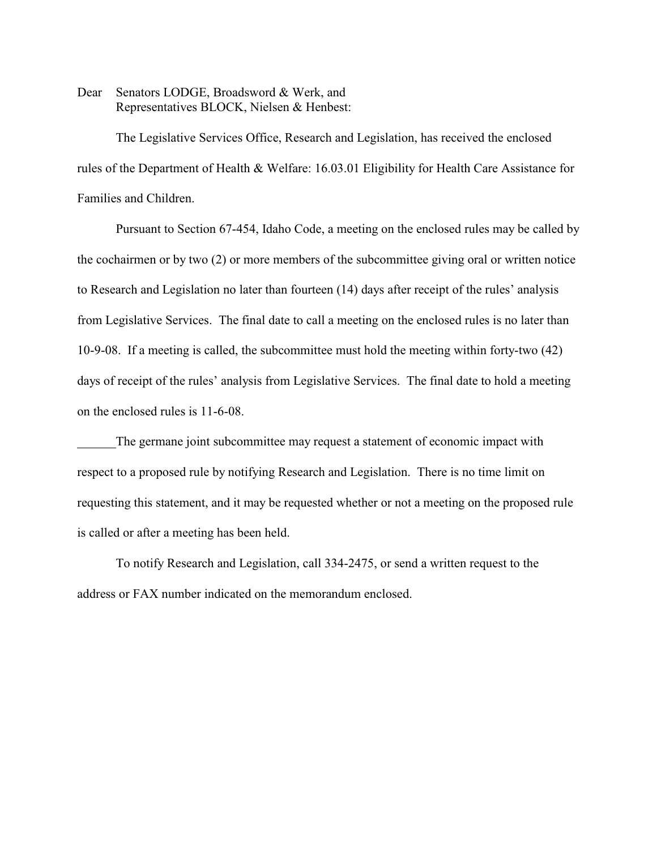Dear Senators LODGE, Broadsword & Werk, and Representatives BLOCK, Nielsen & Henbest:

The Legislative Services Office, Research and Legislation, has received the enclosed rules of the Department of Health & Welfare: 16.03.01 Eligibility for Health Care Assistance for Families and Children.

Pursuant to Section 67-454, Idaho Code, a meeting on the enclosed rules may be called by the cochairmen or by two (2) or more members of the subcommittee giving oral or written notice to Research and Legislation no later than fourteen (14) days after receipt of the rules' analysis from Legislative Services. The final date to call a meeting on the enclosed rules is no later than 10-9-08. If a meeting is called, the subcommittee must hold the meeting within forty-two (42) days of receipt of the rules' analysis from Legislative Services. The final date to hold a meeting on the enclosed rules is 11-6-08.

The germane joint subcommittee may request a statement of economic impact with respect to a proposed rule by notifying Research and Legislation. There is no time limit on requesting this statement, and it may be requested whether or not a meeting on the proposed rule is called or after a meeting has been held.

To notify Research and Legislation, call 334-2475, or send a written request to the address or FAX number indicated on the memorandum enclosed.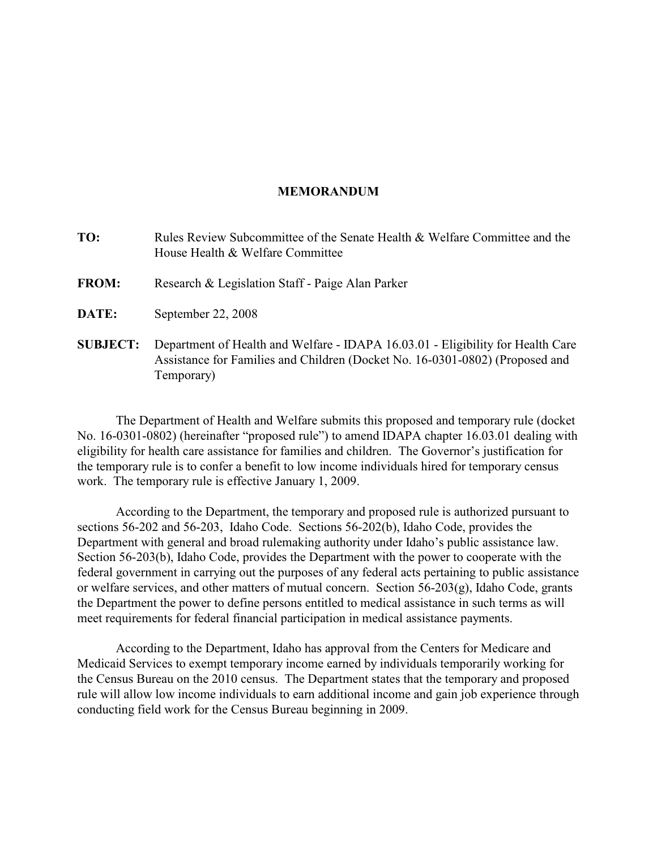#### **MEMORANDUM**

- **TO:** Rules Review Subcommittee of the Senate Health & Welfare Committee and the House Health & Welfare Committee
- **FROM:** Research & Legislation Staff Paige Alan Parker
- **DATE:** September 22, 2008
- **SUBJECT:** Department of Health and Welfare IDAPA 16.03.01 Eligibility for Health Care Assistance for Families and Children (Docket No. 16-0301-0802) (Proposed and Temporary)

The Department of Health and Welfare submits this proposed and temporary rule (docket No. 16-0301-0802) (hereinafter "proposed rule") to amend IDAPA chapter 16.03.01 dealing with eligibility for health care assistance for families and children. The Governor's justification for the temporary rule is to confer a benefit to low income individuals hired for temporary census work. The temporary rule is effective January 1, 2009.

According to the Department, the temporary and proposed rule is authorized pursuant to sections 56-202 and 56-203, Idaho Code. Sections 56-202(b), Idaho Code, provides the Department with general and broad rulemaking authority under Idaho's public assistance law. Section 56-203(b), Idaho Code, provides the Department with the power to cooperate with the federal government in carrying out the purposes of any federal acts pertaining to public assistance or welfare services, and other matters of mutual concern. Section 56-203(g), Idaho Code, grants the Department the power to define persons entitled to medical assistance in such terms as will meet requirements for federal financial participation in medical assistance payments.

According to the Department, Idaho has approval from the Centers for Medicare and Medicaid Services to exempt temporary income earned by individuals temporarily working for the Census Bureau on the 2010 census. The Department states that the temporary and proposed rule will allow low income individuals to earn additional income and gain job experience through conducting field work for the Census Bureau beginning in 2009.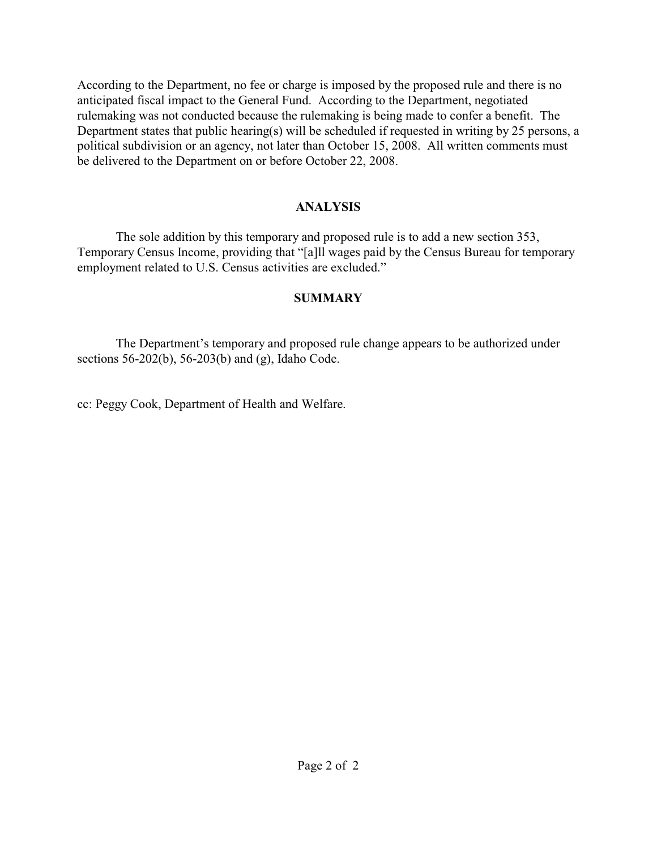According to the Department, no fee or charge is imposed by the proposed rule and there is no anticipated fiscal impact to the General Fund. According to the Department, negotiated rulemaking was not conducted because the rulemaking is being made to confer a benefit. The Department states that public hearing(s) will be scheduled if requested in writing by 25 persons, a political subdivision or an agency, not later than October 15, 2008. All written comments must be delivered to the Department on or before October 22, 2008.

## **ANALYSIS**

The sole addition by this temporary and proposed rule is to add a new section 353, Temporary Census Income, providing that "[a]ll wages paid by the Census Bureau for temporary employment related to U.S. Census activities are excluded."

# **SUMMARY**

The Department's temporary and proposed rule change appears to be authorized under sections 56-202(b), 56-203(b) and (g), Idaho Code.

cc: Peggy Cook, Department of Health and Welfare.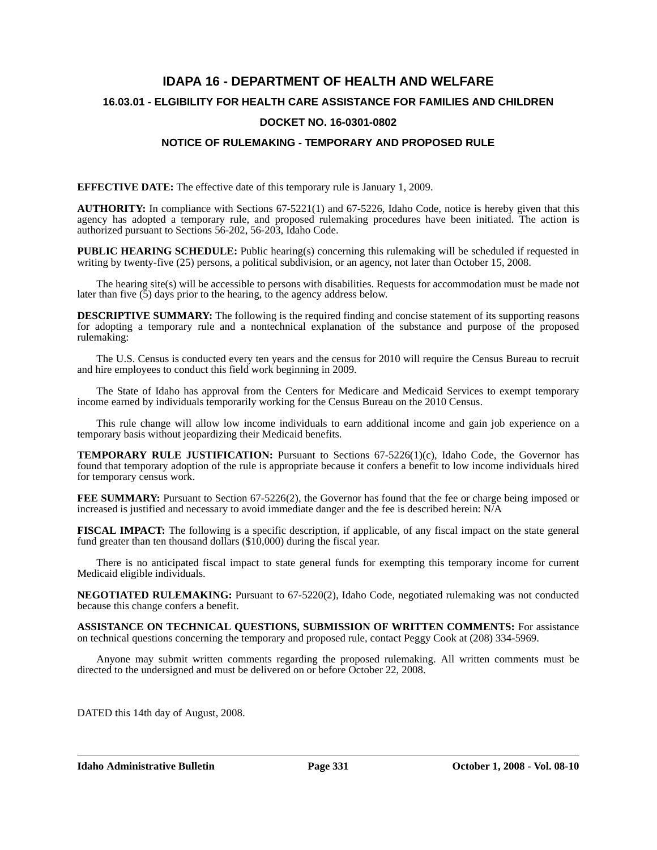# **IDAPA 16 - DEPARTMENT OF HEALTH AND WELFARE 16.03.01 - ELGIBILITY FOR HEALTH CARE ASSISTANCE FOR FAMILIES AND CHILDREN DOCKET NO. 16-0301-0802**

### **NOTICE OF RULEMAKING - TEMPORARY AND PROPOSED RULE**

**EFFECTIVE DATE:** The effective date of this temporary rule is January 1, 2009.

**AUTHORITY:** In compliance with Sections 67-5221(1) and 67-5226, Idaho Code, notice is hereby given that this agency has adopted a temporary rule, and proposed rulemaking procedures have been initiated. The action is authorized pursuant to Sections 56-202, 56-203, Idaho Code.

**PUBLIC HEARING SCHEDULE:** Public hearing(s) concerning this rulemaking will be scheduled if requested in writing by twenty-five (25) persons, a political subdivision, or an agency, not later than October 15, 2008.

The hearing site(s) will be accessible to persons with disabilities. Requests for accommodation must be made not later than five  $(5)$  days prior to the hearing, to the agency address below.

**DESCRIPTIVE SUMMARY:** The following is the required finding and concise statement of its supporting reasons for adopting a temporary rule and a nontechnical explanation of the substance and purpose of the proposed rulemaking:

The U.S. Census is conducted every ten years and the census for 2010 will require the Census Bureau to recruit and hire employees to conduct this field work beginning in 2009.

The State of Idaho has approval from the Centers for Medicare and Medicaid Services to exempt temporary income earned by individuals temporarily working for the Census Bureau on the 2010 Census.

This rule change will allow low income individuals to earn additional income and gain job experience on a temporary basis without jeopardizing their Medicaid benefits.

**TEMPORARY RULE JUSTIFICATION:** Pursuant to Sections 67-5226(1)(c), Idaho Code, the Governor has found that temporary adoption of the rule is appropriate because it confers a benefit to low income individuals hired for temporary census work.

**FEE SUMMARY:** Pursuant to Section 67-5226(2), the Governor has found that the fee or charge being imposed or increased is justified and necessary to avoid immediate danger and the fee is described herein: N/A

**FISCAL IMPACT:** The following is a specific description, if applicable, of any fiscal impact on the state general fund greater than ten thousand dollars (\$10,000) during the fiscal year.

There is no anticipated fiscal impact to state general funds for exempting this temporary income for current Medicaid eligible individuals.

**NEGOTIATED RULEMAKING:** Pursuant to 67-5220(2), Idaho Code, negotiated rulemaking was not conducted because this change confers a benefit.

**ASSISTANCE ON TECHNICAL QUESTIONS, SUBMISSION OF WRITTEN COMMENTS:** For assistance on technical questions concerning the temporary and proposed rule, contact Peggy Cook at (208) 334-5969.

Anyone may submit written comments regarding the proposed rulemaking. All written comments must be directed to the undersigned and must be delivered on or before October 22, 2008.

DATED this 14th day of August, 2008.